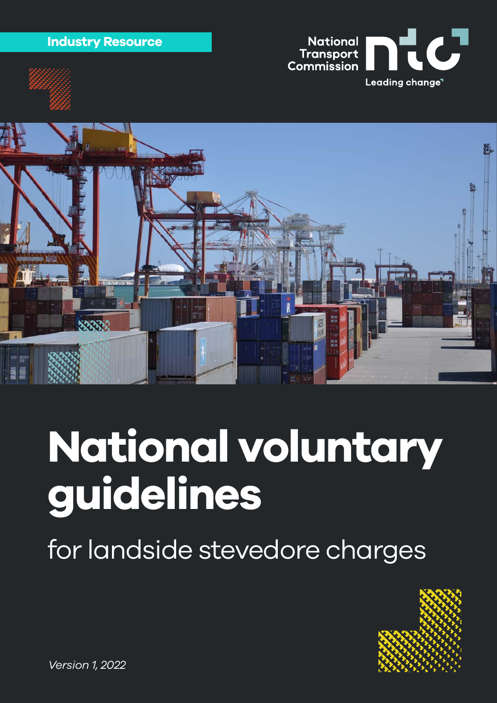







# **National voluntary guidelines**

for landside stevedore charges

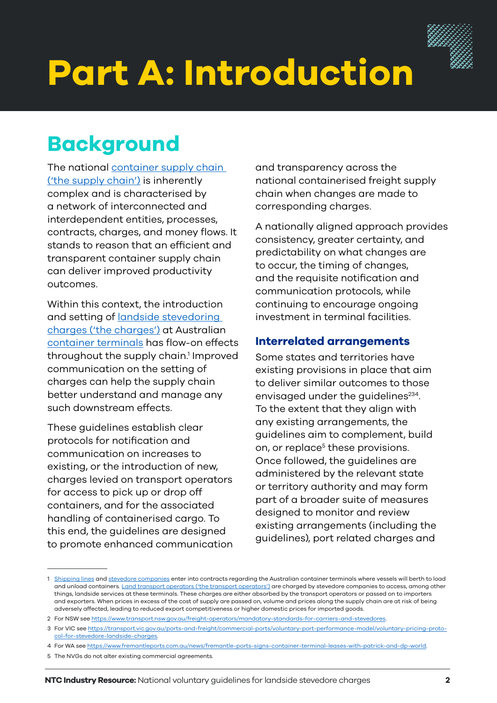

# <span id="page-1-0"></span>**Part A: Introduction**

### **Background**

The national [container supply chain](#page-5-0)  [\('the supply chain'\)](#page-5-0) is inherently complex and is characterised by a network of interconnected and interdependent entities, processes, contracts, charges, and money flows. It stands to reason that an efficient and transparent container supply chain can deliver improved productivity outcomes.

Within this context, the introduction and setting of [landside stevedoring](#page-5-0)  [charges \('the charges'\)](#page-5-0) at Australian [container terminals](#page-5-0) has flow-on effects throughout the supply chain.<sup>1</sup> Improved communication on the setting of charges can help the supply chain better understand and manage any such downstream effects.

These guidelines establish clear protocols for notification and communication on increases to existing, or the introduction of new, charges levied on transport operators for access to pick up or drop off containers, and for the associated handling of containerised cargo. To this end, the guidelines are designed to promote enhanced communication and transparency across the national containerised freight supply chain when changes are made to corresponding charges.

A nationally aligned approach provides consistency, greater certainty, and predictability on what changes are to occur, the timing of changes, and the requisite notification and communication protocols, while continuing to encourage ongoing investment in terminal facilities.

#### **Interrelated arrangements**

Some states and territories have existing provisions in place that aim to deliver similar outcomes to those envisaged under the guidelines<sup>234</sup>. To the extent that they align with any existing arrangements, the guidelines aim to complement, build on, or replace<sup>5</sup> these provisions. Once followed, the guidelines are administered by the relevant state or territory authority and may form part of a broader suite of measures designed to monitor and review existing arrangements (including the guidelines), port related charges and

<sup>1</sup> [Shipping lines](#page-5-0) and [stevedore companies](#page-5-0) enter into contracts regarding the Australian container terminals where vessels will berth to load and unload containers. [Land transport operators \('the transport operators'\)](#page-5-0) are charged by stevedore companies to access, among other things, landside services at these terminals. These charges are either absorbed by the transport operators or passed on to importers and exporters. When prices in excess of the cost of supply are passed on, volume and prices along the supply chain are at risk of being adversely affected, leading to reduced export competitiveness or higher domestic prices for imported goods.

<sup>2</sup> For NSW see <https://www.transport.nsw.gov.au/freight-operators/mandatory-standards-for-carriers-and-stevedores>.

<sup>3</sup> For VIC see [https://transport.vic.gov.au/ports-and-freight/commercial-ports/voluntary-port-performance-model/voluntary-pricing-proto](https://transport.vic.gov.au/ports-and-freight/commercial-ports/voluntary-port-performance-model/voluntary-pricing-protocol-for-stevedore-landside-charges)[col-for-stevedore-landside-charges](https://transport.vic.gov.au/ports-and-freight/commercial-ports/voluntary-port-performance-model/voluntary-pricing-protocol-for-stevedore-landside-charges).

<sup>4</sup> For WA see [https://www.fremantleports.com.au/news/fremantle-ports-signs-container-terminal-leases-with-patrick-and-dp-world.](https://www.fremantleports.com.au/news/fremantle-ports-signs-container-terminal-leases-with-patrick-and-dp-world)

<sup>5</sup> The NVGs do not alter existing commercial agreements.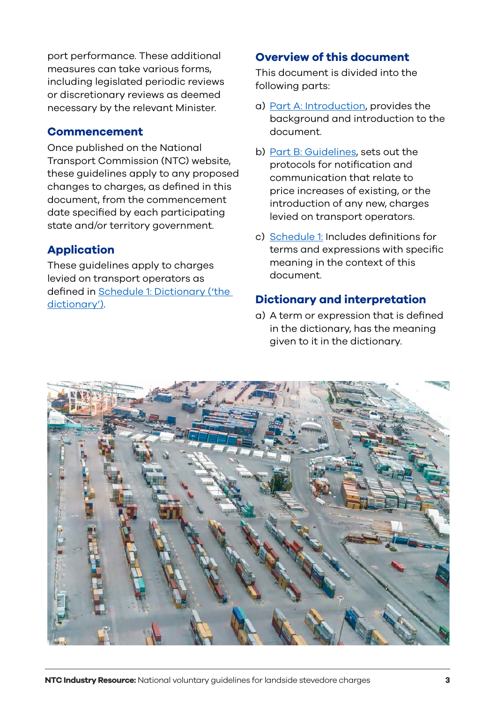port performance. These additional measures can take various forms, including legislated periodic reviews or discretionary reviews as deemed necessary by the relevant Minister.

#### **Commencement**

Once published on the National Transport Commission (NTC) website, these guidelines apply to any proposed changes to charges, as defined in this document, from the commencement date specified by each participating state and/or territory government.

#### **Application**

These guidelines apply to charges levied on transport operators as defined in [Schedule 1: Dictionary \('the](#page-5-0)  [dictionary'\)](#page-5-0).

#### **Overview of this document**

This document is divided into the following parts:

- a) [Part A: Introduction,](#page-1-0) provides the background and introduction to the document.
- b) [Part B: Guidelines,](#page-3-0) sets out the protocols for notification and communication that relate to price increases of existing, or the introduction of any new, charges levied on transport operators.
- c) [Schedule 1:](#page-5-0) Includes definitions for terms and expressions with specific meaning in the context of this document.

#### **Dictionary and interpretation**

a) A term or expression that is defined in the dictionary, has the meaning given to it in the dictionary.

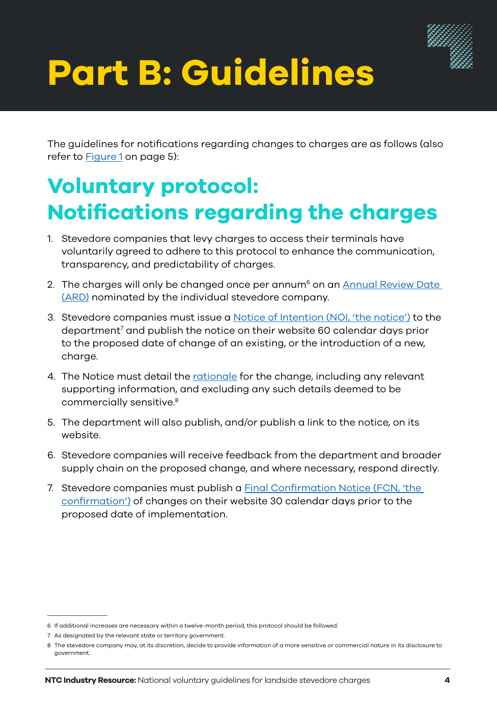

## <span id="page-3-0"></span>**Part B: Guidelines**

The guidelines for notifications regarding changes to charges are as follows (also refer to [Figure 1](#page-4-0) on page 5):

## **Voluntary protocol: Notifications regarding the charges**

- 1. Stevedore companies that levy charges to access their terminals have voluntarily agreed to adhere to this protocol to enhance the communication, transparency, and predictability of charges.
- 2. The charges will only be changed once per annum<sup>6</sup> on an **Annual Review Date** [\(ARD\)](#page-5-0) nominated by the individual stevedore company.
- 3. Stevedore companies must issue a [Notice of Intention \(NOI, 'the notice'\)](#page-5-0) to the department<sup>7</sup> and publish the notice on their website 60 calendar days prior to the proposed date of change of an existing, or the introduction of a new, charge.
- 4. The Notice must detail the [rationale](#page-5-0) for the change, including any relevant supporting information, and excluding any such details deemed to be commercially sensitive.<sup>8</sup>
- 5. The department will also publish, and/or publish a link to the notice, on its website.
- 6. Stevedore companies will receive feedback from the department and broader supply chain on the proposed change, and where necessary, respond directly.
- 7. Stevedore companies must publish a [Final Confirmation Notice \(FCN, 'the](#page-5-0)  [confirmation'\)](#page-5-0) of changes on their website 30 calendar days prior to the proposed date of implementation.

<sup>6</sup> If additional increases are necessary within a twelve-month period, this protocol should be followed.

<sup>7</sup> As designated by the relevant state or territory government.

<sup>8</sup> The stevedore company may, at its discretion, decide to provide information of a more sensitive or commercial nature in its disclosure to government.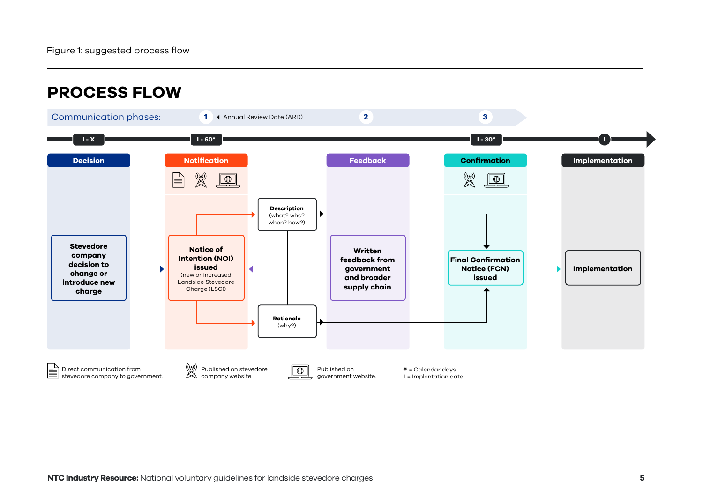<span id="page-4-0"></span>